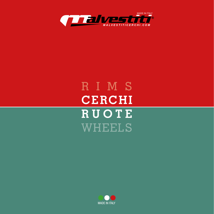

# RIMS **CERCHI RUOTE** WHEELS

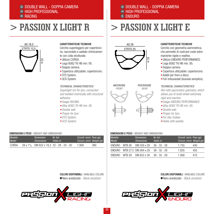## <sup>D</sup> DOUBLE WALL - DOPPIA CAMERA **HIGH PROFESSIONAL** <sup>R</sup> RACING

## **> PASSION X LIGHT R**

## AS 18,3 ETRTO 13,5 H 22

### CARATTERISTICHE TECNICHE

no, raccordato e saldato chimicamente con colla strutturale.

- 
- Lega 6082 T6 HB min. 95.
- •Doppia camera.
- Copertura utilizzabile: copertoncino.
- DTS System.
- UCS System.

*Superlight rim for tyre, connected and welded chemically with structural adhesive.*

- 
- *• Alloy 6082 T6 HB min. 95.*
- *•Double wall.*
- *• Proper for tyre.*
- *•DTS System.*
- *• UCS System.*

#### DIMENSIONI E PESO */ WEIGHT AND DIMENSIONS*

| Modello<br>Model | Dimensioni<br><b>Dimensions</b> | Nr. fori<br>Holes nr.                              | Circonf. (mm) Peso (gr)<br>Circum. (mm) Weight (gr) |     |
|------------------|---------------------------------|----------------------------------------------------|-----------------------------------------------------|-----|
| CORSA            |                                 | $28 \times 15$ /8 DIN 622 x 18.3 32 - 28 - 24 - 20 | 1.956                                               | 380 |

Cerchio superleggero per copertonci-

- Utilizzo CORSA.
- 
- 
- 
- 
- 



- *• Usage RACING.*
- 
- 
- 
- 
- 



## **> PASSION X LIGHT E**





### CARATTERISTICHE TECNICHE

Cerchio con geometria asimmetrica, che permette di costruire ruote estremamente rigide e reattive.

- Utilizzo ENDURO PERFORMANCE.
- Lega 6082 T6 HB min. 95.
- •Doppia camera.
- Copertura utilizzabile: copertoncino.
- Adatti per freni a disco.
- Fori imbussolati (bussola semplice).

#### *TECHNICAL CHARACTERISTICS*

*Rim with asymmetric geometry, which allows you to build wheel extremely rigid and reactive.*

COLORI DISPONIBILI */ AVAILABLE COLORS* Nero anodizzato *- Black anodized*

- *• Usage ENDURO PERFORMANCE.*
- *• Alloy 6082 T6 HB min. 95.*
- *•Double wall.*
- *• Proper for tyre.*
- *• For disc brakes*
- *• Holes with eyelets.*

#### DIMENSIONI E PESO */ WEIGHT AND DIMENSIONS*

| <b>Modello</b><br><b>Model</b> |        | Dimensioni<br><b>Dimensions</b> | Nr. fori<br>Holes nr. | Circonf. (mm) Peso (gr)<br>Circum. (mm) Weight (gr) |     |  |
|--------------------------------|--------|---------------------------------|-----------------------|-----------------------------------------------------|-----|--|
| ENDURO                         | MTB 26 | DIN 559 x 29                    | $36 - 32 - 28$        | 1.755                                               | 440 |  |
| ENDURO                         |        | MTB 27,5 DIN 584 x 29           | $36 - 32 - 28$        | 1.835                                               | 455 |  |
| FNDLJRO                        | MTR 29 | DIN 622 x 29                    | $36 - 32 - 28$        | 1.956                                               | 475 |  |

COLORI DISPONIBILI */ AVAILABLE COLORS* Nero anodizzato *- Black anodized*